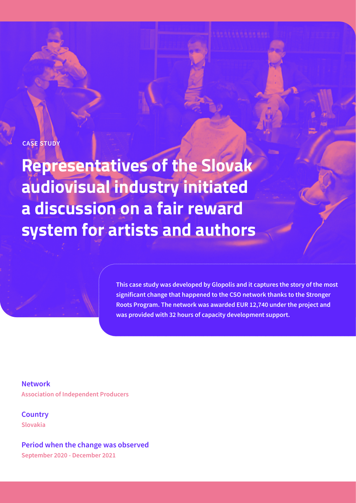## **CASE STUDY**

**Representatives of the Slovak audiovisual industry initiated a discussion on a fair reward system for artists and authors**

> **This case study was developed by Glopolis and it captures the story of the most significant change that happened to the CSO network thanks to the Stronger Roots Program. The network was awarded EUR 12,740 under the project and was provided with 32 hours of capacity development support.**

**Network Association of Independent Producers**

**Country Slovakia**

**Period when the change was observed September 2020 - December 2021**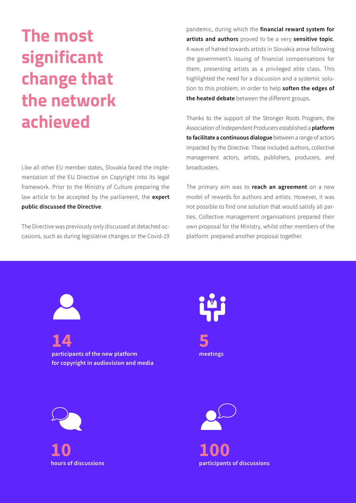## **The most significant change that the network achieved**

Like all other EU member states, Slovakia faced the implementation of the EU Directive on Copyright into its legal framework. Prior to the Ministry of Culture preparing the law article to be accepted by the parliament, the **expert public discussed the Directive**.

The Directive was previously only discussed at detached occasions, such as during legislative changes or the Covid-19 pandemic, during which the **financial reward system for artists and authors** proved to be a very **sensitive topic**. A wave of hatred towards artists in Slovakia arose following the government's issuing of financial compensations for them, presenting artists as a privileged elite class. This highlighted the need for a discussion and a systemic solution to this problem, in order to help **soften the edges of the heated debate** between the different groups.

Thanks to the support of the Stronger Roots Program, the Association of Independent Producers established a **platform to facilitate a continuous dialogue** between a range of actors impacted by the Directive. These included authors, collective management actors, artists, publishers, producers, and broadcasters.

The primary aim was to **reach an agreement** on a new model of rewards for authors and artists. However, it was not possible to find one solution that would satisfy all parties. Collective management organisations prepared their own proposal for the Ministry, whilst other members of the platform prepared another proposal together.



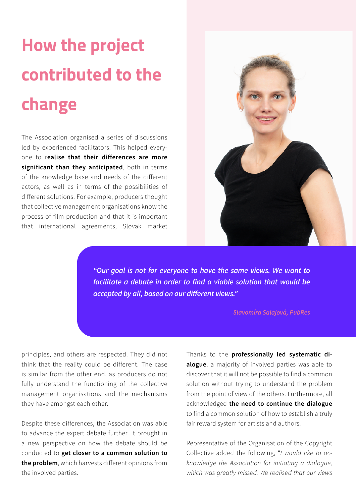## **How the project contributed to the change**

The Association organised a series of discussions led by experienced facilitators. This helped everyone to r**ealise that their differences are more significant than they anticipated**, both in terms of the knowledge base and needs of the different actors, as well as in terms of the possibilities of different solutions. For example, producers thought that collective management organisations know the process of film production and that it is important that international agreements, Slovak market



*"Our goal is not for everyone to have the same views. We want to facilitate a debate in order to find a viable solution that would be accepted by all, based on our different views."* 

*Slavomíra Salajová, PubRes*

principles, and others are respected. They did not think that the reality could be different. The case is similar from the other end, as producers do not fully understand the functioning of the collective management organisations and the mechanisms they have amongst each other.

Despite these differences, the Association was able to advance the expert debate further. It brought in a new perspective on how the debate should be conducted to **get closer to a common solution to the problem**, which harvests different opinions from the involved parties.

Thanks to the **professionally led systematic dialogue**, a majority of involved parties was able to discover that it will not be possible to find a common solution without trying to understand the problem from the point of view of the others. Furthermore, all acknowledged **the need to continue the dialogue** to find a common solution of how to establish a truly fair reward system for artists and authors.

Representative of the Organisation of the Copyright Collective added the following, "*I would like to acknowledge the Association for initiating a dialogue, which was greatly missed. We realised that our views*